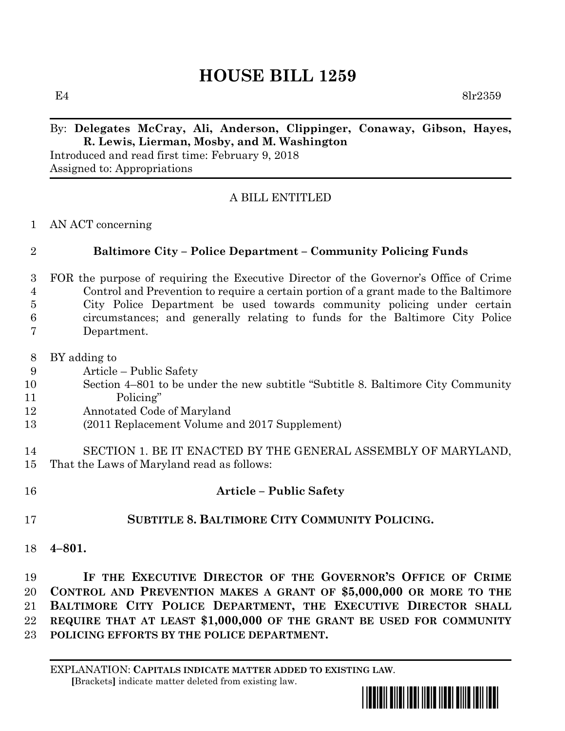## **HOUSE BILL 1259**

 $E4$  8lr2359

## By: **Delegates McCray, Ali, Anderson, Clippinger, Conaway, Gibson, Hayes, R. Lewis, Lierman, Mosby, and M. Washington**

Introduced and read first time: February 9, 2018 Assigned to: Appropriations

## A BILL ENTITLED

AN ACT concerning

## **Baltimore City – Police Department – Community Policing Funds**

- FOR the purpose of requiring the Executive Director of the Governor's Office of Crime Control and Prevention to require a certain portion of a grant made to the Baltimore City Police Department be used towards community policing under certain circumstances; and generally relating to funds for the Baltimore City Police Department.
- BY adding to
- Article Public Safety
- Section 4–801 to be under the new subtitle "Subtitle 8. Baltimore City Community Policing"
- Annotated Code of Maryland
- (2011 Replacement Volume and 2017 Supplement)
- SECTION 1. BE IT ENACTED BY THE GENERAL ASSEMBLY OF MARYLAND, That the Laws of Maryland read as follows:
- **Article – Public Safety SUBTITLE 8. BALTIMORE CITY COMMUNITY POLICING.**
- **4–801.**

 **IF THE EXECUTIVE DIRECTOR OF THE GOVERNOR'S OFFICE OF CRIME CONTROL AND PREVENTION MAKES A GRANT OF \$5,000,000 OR MORE TO THE BALTIMORE CITY POLICE DEPARTMENT, THE EXECUTIVE DIRECTOR SHALL REQUIRE THAT AT LEAST \$1,000,000 OF THE GRANT BE USED FOR COMMUNITY POLICING EFFORTS BY THE POLICE DEPARTMENT.**

EXPLANATION: **CAPITALS INDICATE MATTER ADDED TO EXISTING LAW**.  **[**Brackets**]** indicate matter deleted from existing law.